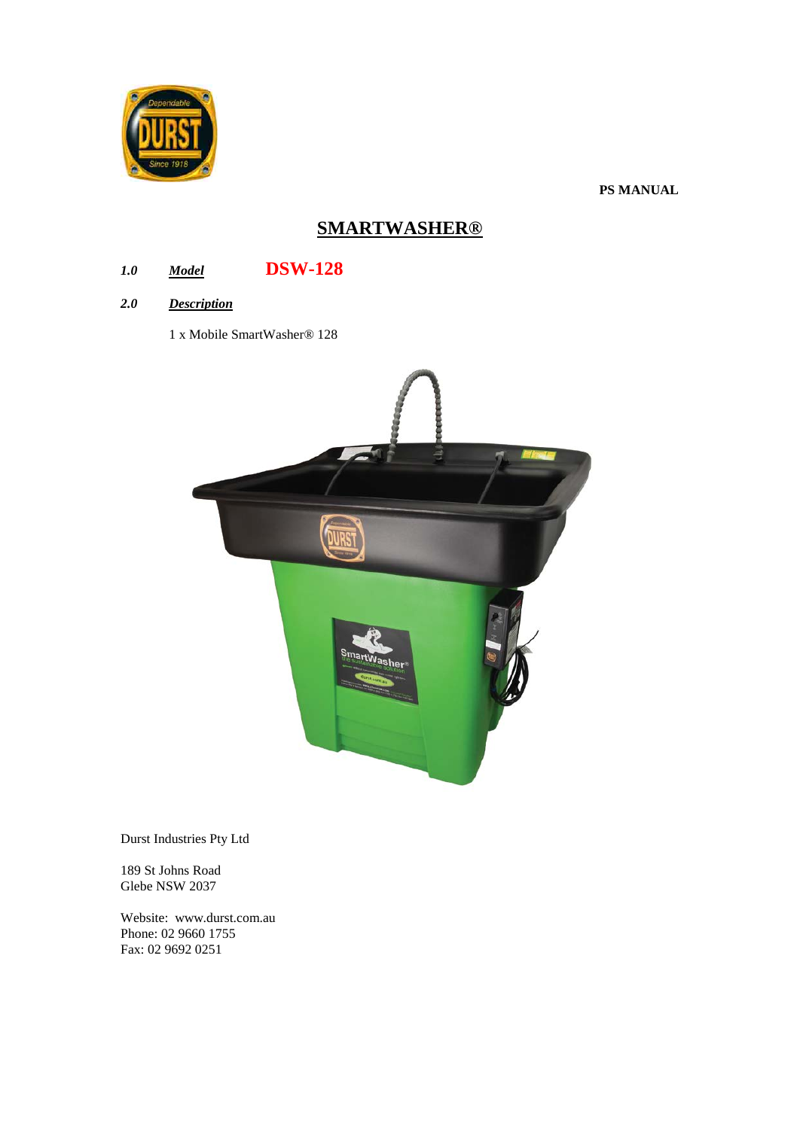

**PS MANUAL**

# **SMARTWASHER®**

## *1.0 Model* **DSW-128**

- *2.0 Description*
	- 1 x Mobile SmartWasher® 128



Durst Industries Pty Ltd

189 St Johns Road Glebe NSW 2037

Website: www.durst.com.au Phone: 02 9660 1755 Fax: 02 9692 0251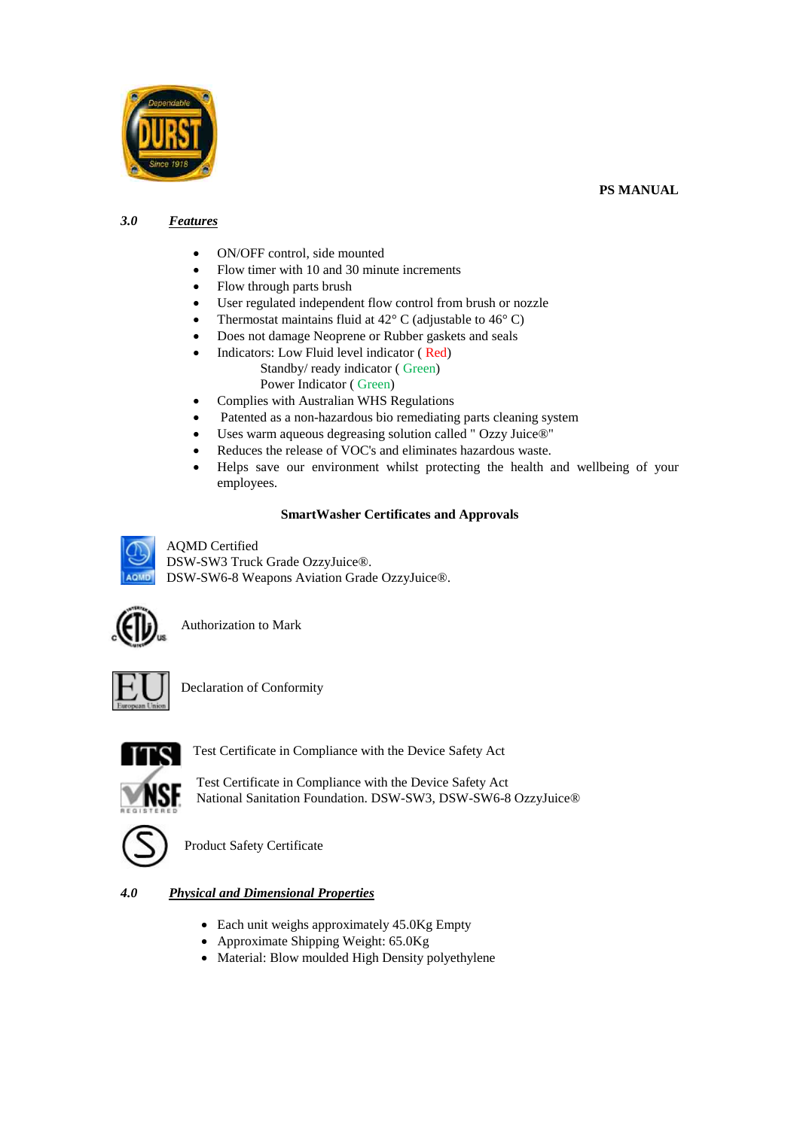



## *3.0 Features*

- ON/OFF control, side mounted
- Flow timer with 10 and 30 minute increments
- Flow through parts brush
- User regulated independent flow control from brush or nozzle
- Thermostat maintains fluid at  $42^{\circ}$  C (adjustable to  $46^{\circ}$  C)
- Does not damage Neoprene or Rubber gaskets and seals
- Indicators: Low Fluid level indicator ( Red) Standby/ ready indicator ( Green)
	- Power Indicator ( Green)
- Complies with Australian WHS Regulations
- Patented as a non-hazardous bio remediating parts cleaning system
- Uses warm aqueous degreasing solution called " Ozzy Juice®"
- Reduces the release of VOC's and eliminates hazardous waste.
- Helps save our environment whilst protecting the health and wellbeing of your employees.

## **SmartWasher Certificates and Approvals**





Authorization to Mark



Declaration of Conformity



Test Certificate in Compliance with the Device Safety Act

Test Certificate in Compliance with the Device Safety Act National Sanitation Foundation. DSW-SW3, DSW-SW6-8 OzzyJuice®



Product Safety Certificate

## *4.0 Physical and Dimensional Properties*

- Each unit weighs approximately 45.0Kg Empty
- Approximate Shipping Weight: 65.0Kg
- Material: Blow moulded High Density polyethylene